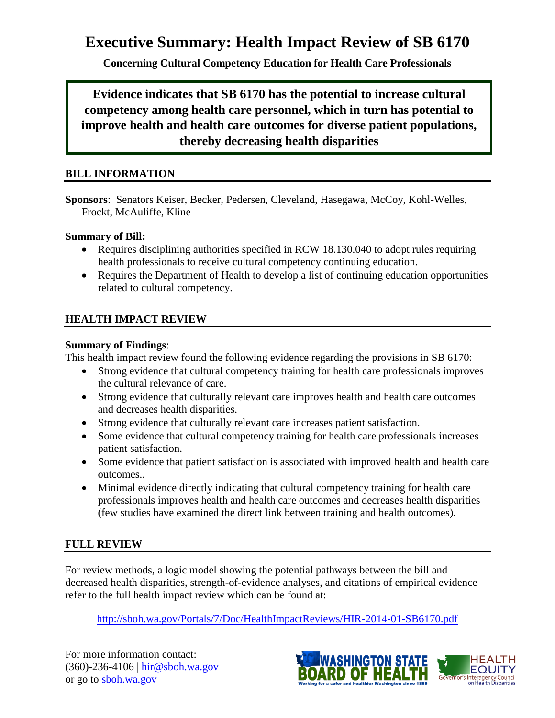# **Executive Summary: Health Impact Review of SB 6170**

**Concerning Cultural Competency Education for Health Care Professionals**

**Evidence indicates that SB 6170 has the potential to increase cultural competency among health care personnel, which in turn has potential to improve health and health care outcomes for diverse patient populations, thereby decreasing health disparities**

#### **BILL INFORMATION**

**Sponsors**: Senators Keiser, Becker, Pedersen, Cleveland, Hasegawa, McCoy, Kohl-Welles, Frockt, McAuliffe, Kline

#### **Summary of Bill:**

- Requires disciplining authorities specified in RCW 18.130.040 to adopt rules requiring health professionals to receive cultural competency continuing education.
- Requires the Department of Health to develop a list of continuing education opportunities related to cultural competency.

### **HEALTH IMPACT REVIEW**

#### **Summary of Findings**:

This health impact review found the following evidence regarding the provisions in SB 6170:

- Strong evidence that cultural competency training for health care professionals improves the cultural relevance of care.
- Strong evidence that culturally relevant care improves health and health care outcomes and decreases health disparities.
- Strong evidence that culturally relevant care increases patient satisfaction.
- Some evidence that cultural competency training for health care professionals increases patient satisfaction.
- Some evidence that patient satisfaction is associated with improved health and health care outcomes..
- Minimal evidence directly indicating that cultural competency training for health care professionals improves health and health care outcomes and decreases health disparities (few studies have examined the direct link between training and health outcomes).

### **FULL REVIEW**

For review methods, a logic model showing the potential pathways between the bill and decreased health disparities, strength-of-evidence analyses, and citations of empirical evidence refer to the full health impact review which can be found at:

<http://sboh.wa.gov/Portals/7/Doc/HealthImpactReviews/HIR-2014-01-SB6170.pdf>

For more information contact: (360)-236-4106 | [hir@sboh.wa.gov](mailto:hir@sboh.wa.gov) or go to [sboh.wa.gov](http://sboh.wa.gov/)

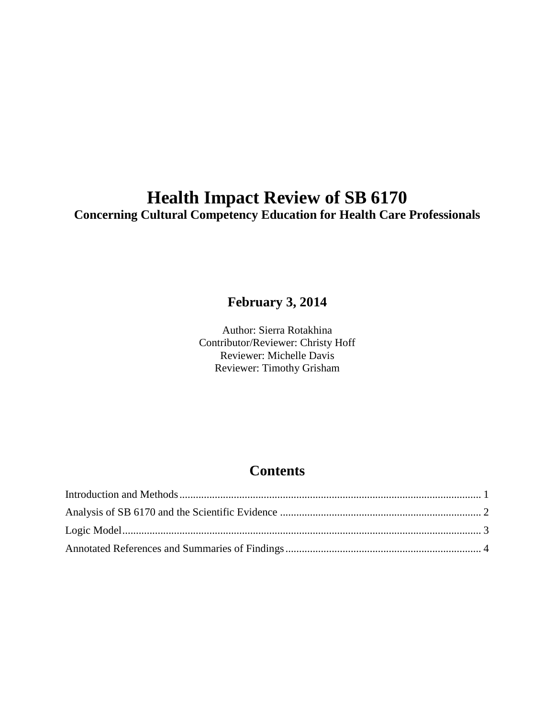# **Health Impact Review of SB 6170 Concerning Cultural Competency Education for Health Care Professionals**

## **February 3, 2014**

Author: Sierra Rotakhina Contributor/Reviewer: Christy Hoff Reviewer: Michelle Davis Reviewer: Timothy Grisham

# **Contents**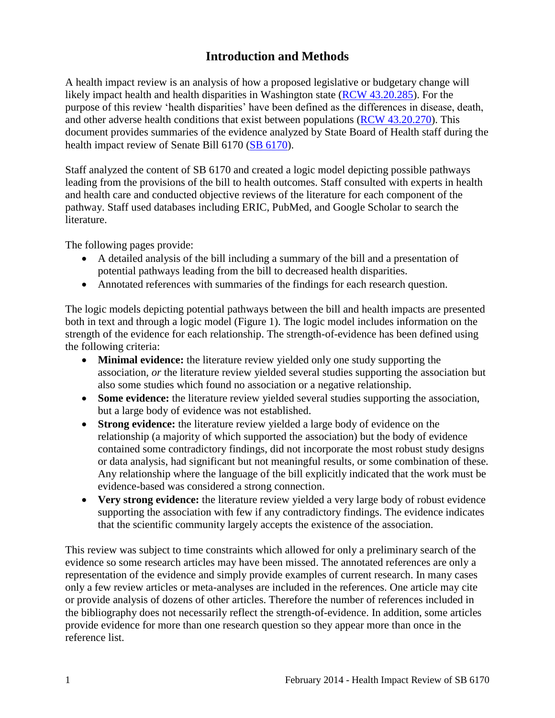## **Introduction and Methods**

<span id="page-2-0"></span>A health impact review is an analysis of how a proposed legislative or budgetary change will likely impact health and health disparities in Washington state [\(RCW 43.20.285\)](http://apps.leg.wa.gov/rcw/default.aspx?cite=43.20.285). For the purpose of this review 'health disparities' have been defined as the differences in disease, death, and other adverse health conditions that exist between populations [\(RCW 43.20.270\)](http://apps.leg.wa.gov/rcw/default.aspx?cite=43.20.270). This document provides summaries of the evidence analyzed by State Board of Health staff during the health impact review of Senate Bill 6170 [\(SB 6170\)](http://apps.leg.wa.gov/billinfo/summary.aspx?bill=6170).

Staff analyzed the content of SB 6170 and created a logic model depicting possible pathways leading from the provisions of the bill to health outcomes. Staff consulted with experts in health and health care and conducted objective reviews of the literature for each component of the pathway. Staff used databases including ERIC, PubMed, and Google Scholar to search the literature.

The following pages provide:

- A detailed analysis of the bill including a summary of the bill and a presentation of potential pathways leading from the bill to decreased health disparities.
- Annotated references with summaries of the findings for each research question.

The logic models depicting potential pathways between the bill and health impacts are presented both in text and through a logic model (Figure 1). The logic model includes information on the strength of the evidence for each relationship. The strength-of-evidence has been defined using the following criteria:

- **Minimal evidence:** the literature review yielded only one study supporting the association, *or* the literature review yielded several studies supporting the association but also some studies which found no association or a negative relationship.
- **Some evidence:** the literature review yielded several studies supporting the association, but a large body of evidence was not established.
- **Strong evidence:** the literature review yielded a large body of evidence on the relationship (a majority of which supported the association) but the body of evidence contained some contradictory findings, did not incorporate the most robust study designs or data analysis, had significant but not meaningful results, or some combination of these. Any relationship where the language of the bill explicitly indicated that the work must be evidence-based was considered a strong connection.
- **Very strong evidence:** the literature review yielded a very large body of robust evidence supporting the association with few if any contradictory findings. The evidence indicates that the scientific community largely accepts the existence of the association.

This review was subject to time constraints which allowed for only a preliminary search of the evidence so some research articles may have been missed. The annotated references are only a representation of the evidence and simply provide examples of current research. In many cases only a few review articles or meta-analyses are included in the references. One article may cite or provide analysis of dozens of other articles. Therefore the number of references included in the bibliography does not necessarily reflect the strength-of-evidence. In addition, some articles provide evidence for more than one research question so they appear more than once in the reference list.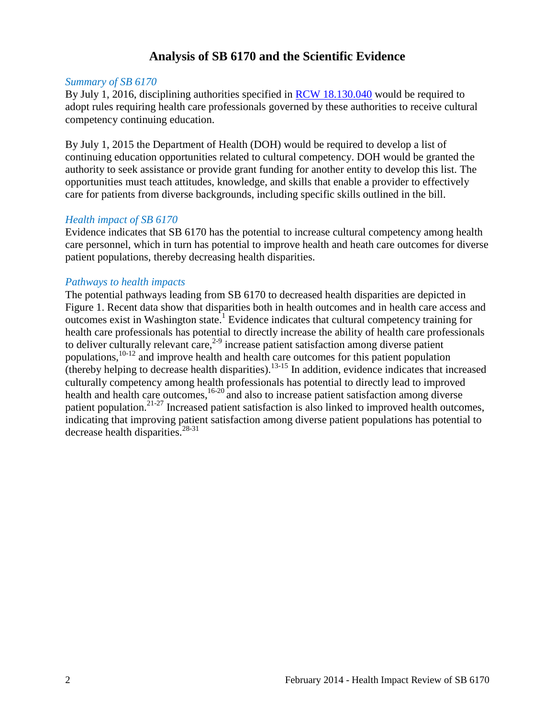### **Analysis of SB 6170 and the Scientific Evidence**

#### <span id="page-3-0"></span>*Summary of SB 6170*

By July 1, 2016, disciplining authorities specified in [RCW 18.130.040](http://apps.leg.wa.gov/rcw/default.aspx?cite=18.130.040) would be required to adopt rules requiring health care professionals governed by these authorities to receive cultural competency continuing education.

By July 1, 2015 the Department of Health (DOH) would be required to develop a list of continuing education opportunities related to cultural competency. DOH would be granted the authority to seek assistance or provide grant funding for another entity to develop this list. The opportunities must teach attitudes, knowledge, and skills that enable a provider to effectively care for patients from diverse backgrounds, including specific skills outlined in the bill.

#### *Health impact of SB 6170*

Evidence indicates that SB 6170 has the potential to increase cultural competency among health care personnel, which in turn has potential to improve health and heath care outcomes for diverse patient populations, thereby decreasing health disparities.

#### *Pathways to health impacts*

The potential pathways leading from SB 6170 to decreased health disparities are depicted in Figure 1. Recent data show that disparities both in health outcomes and in health care access and outcomes exist in Washington state.<sup>1</sup> Evidence indicates that cultural competency training for health care professionals has potential to directly increase the ability of health care professionals to deliver culturally relevant care,  $2-9$  increase patient satisfaction among diverse patient populations,10-12 and improve health and health care outcomes for this patient population (thereby helping to decrease health disparities).13-15 In addition, evidence indicates that increased culturally competency among health professionals has potential to directly lead to improved health and health care outcomes,<sup>16-20</sup> and also to increase patient satisfaction among diverse patient population.<sup>21-27</sup> Increased patient satisfaction is also linked to improved health outcomes, indicating that improving patient satisfaction among diverse patient populations has potential to decrease health disparities. $28-31$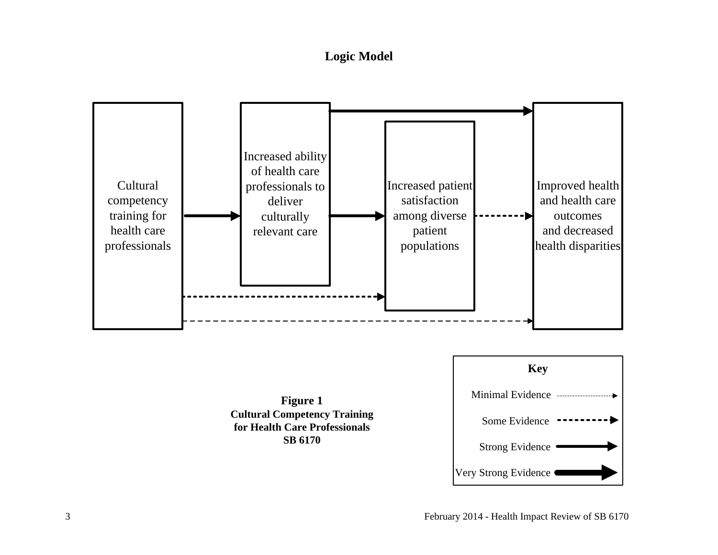**Logic Model**

<span id="page-4-0"></span>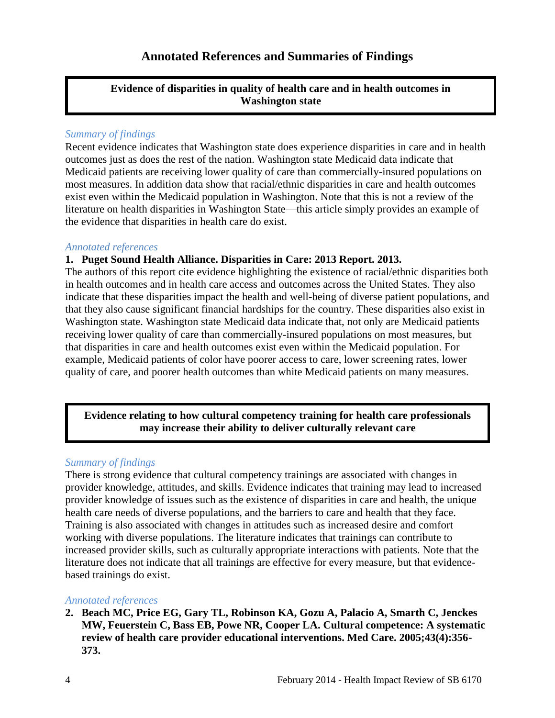### **Annotated References and Summaries of Findings**

#### <span id="page-5-0"></span>**Evidence of disparities in quality of health care and in health outcomes in Washington state**

#### *Summary of findings*

Recent evidence indicates that Washington state does experience disparities in care and in health outcomes just as does the rest of the nation. Washington state Medicaid data indicate that Medicaid patients are receiving lower quality of care than commercially-insured populations on most measures. In addition data show that racial/ethnic disparities in care and health outcomes exist even within the Medicaid population in Washington. Note that this is not a review of the literature on health disparities in Washington State—this article simply provides an example of the evidence that disparities in health care do exist.

#### *Annotated references*

#### **1. Puget Sound Health Alliance. Disparities in Care: 2013 Report. 2013.**

The authors of this report cite evidence highlighting the existence of racial/ethnic disparities both in health outcomes and in health care access and outcomes across the United States. They also indicate that these disparities impact the health and well-being of diverse patient populations, and that they also cause significant financial hardships for the country. These disparities also exist in Washington state. Washington state Medicaid data indicate that, not only are Medicaid patients receiving lower quality of care than commercially-insured populations on most measures, but that disparities in care and health outcomes exist even within the Medicaid population. For example, Medicaid patients of color have poorer access to care, lower screening rates, lower quality of care, and poorer health outcomes than white Medicaid patients on many measures.

#### **Evidence relating to how cultural competency training for health care professionals may increase their ability to deliver culturally relevant care**

#### *Summary of findings*

There is strong evidence that cultural competency trainings are associated with changes in provider knowledge, attitudes, and skills. Evidence indicates that training may lead to increased provider knowledge of issues such as the existence of disparities in care and health, the unique health care needs of diverse populations, and the barriers to care and health that they face. Training is also associated with changes in attitudes such as increased desire and comfort working with diverse populations. The literature indicates that trainings can contribute to increased provider skills, such as culturally appropriate interactions with patients. Note that the literature does not indicate that all trainings are effective for every measure, but that evidencebased trainings do exist.

#### *Annotated references*

**2. Beach MC, Price EG, Gary TL, Robinson KA, Gozu A, Palacio A, Smarth C, Jenckes MW, Feuerstein C, Bass EB, Powe NR, Cooper LA. Cultural competence: A systematic review of health care provider educational interventions. Med Care. 2005;43(4):356- 373.**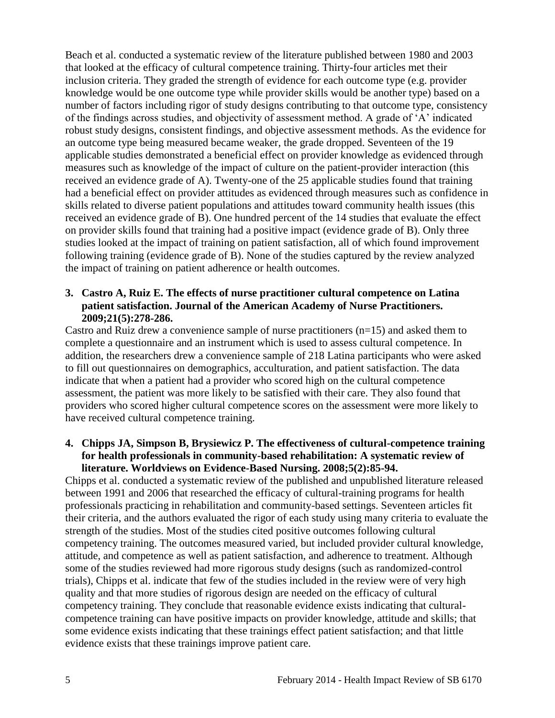Beach et al. conducted a systematic review of the literature published between 1980 and 2003 that looked at the efficacy of cultural competence training. Thirty-four articles met their inclusion criteria. They graded the strength of evidence for each outcome type (e.g. provider knowledge would be one outcome type while provider skills would be another type) based on a number of factors including rigor of study designs contributing to that outcome type, consistency of the findings across studies, and objectivity of assessment method. A grade of 'A' indicated robust study designs, consistent findings, and objective assessment methods. As the evidence for an outcome type being measured became weaker, the grade dropped. Seventeen of the 19 applicable studies demonstrated a beneficial effect on provider knowledge as evidenced through measures such as knowledge of the impact of culture on the patient-provider interaction (this received an evidence grade of A). Twenty-one of the 25 applicable studies found that training had a beneficial effect on provider attitudes as evidenced through measures such as confidence in skills related to diverse patient populations and attitudes toward community health issues (this received an evidence grade of B). One hundred percent of the 14 studies that evaluate the effect on provider skills found that training had a positive impact (evidence grade of B). Only three studies looked at the impact of training on patient satisfaction, all of which found improvement following training (evidence grade of B). None of the studies captured by the review analyzed the impact of training on patient adherence or health outcomes.

#### **3. Castro A, Ruiz E. The effects of nurse practitioner cultural competence on Latina patient satisfaction. Journal of the American Academy of Nurse Practitioners. 2009;21(5):278-286.**

Castro and Ruiz drew a convenience sample of nurse practitioners (n=15) and asked them to complete a questionnaire and an instrument which is used to assess cultural competence. In addition, the researchers drew a convenience sample of 218 Latina participants who were asked to fill out questionnaires on demographics, acculturation, and patient satisfaction. The data indicate that when a patient had a provider who scored high on the cultural competence assessment, the patient was more likely to be satisfied with their care. They also found that providers who scored higher cultural competence scores on the assessment were more likely to have received cultural competence training.

#### **4. Chipps JA, Simpson B, Brysiewicz P. The effectiveness of cultural-competence training for health professionals in community-based rehabilitation: A systematic review of literature. Worldviews on Evidence-Based Nursing. 2008;5(2):85-94.**

Chipps et al. conducted a systematic review of the published and unpublished literature released between 1991 and 2006 that researched the efficacy of cultural-training programs for health professionals practicing in rehabilitation and community-based settings. Seventeen articles fit their criteria, and the authors evaluated the rigor of each study using many criteria to evaluate the strength of the studies. Most of the studies cited positive outcomes following cultural competency training. The outcomes measured varied, but included provider cultural knowledge, attitude, and competence as well as patient satisfaction, and adherence to treatment. Although some of the studies reviewed had more rigorous study designs (such as randomized-control trials), Chipps et al. indicate that few of the studies included in the review were of very high quality and that more studies of rigorous design are needed on the efficacy of cultural competency training. They conclude that reasonable evidence exists indicating that culturalcompetence training can have positive impacts on provider knowledge, attitude and skills; that some evidence exists indicating that these trainings effect patient satisfaction; and that little evidence exists that these trainings improve patient care.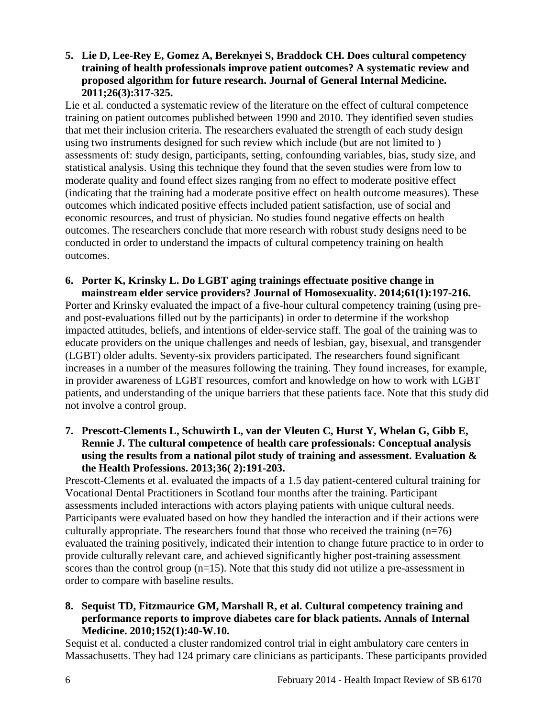#### **5. Lie D, Lee-Rey E, Gomez A, Bereknyei S, Braddock CH. Does cultural competency training of health professionals improve patient outcomes? A systematic review and proposed algorithm for future research. Journal of General Internal Medicine. 2011;26(3):317-325.**

Lie et al. conducted a systematic review of the literature on the effect of cultural competence training on patient outcomes published between 1990 and 2010. They identified seven studies that met their inclusion criteria. The researchers evaluated the strength of each study design using two instruments designed for such review which include (but are not limited to ) assessments of: study design, participants, setting, confounding variables, bias, study size, and statistical analysis. Using this technique they found that the seven studies were from low to moderate quality and found effect sizes ranging from no effect to moderate positive effect (indicating that the training had a moderate positive effect on health outcome measures). These outcomes which indicated positive effects included patient satisfaction, use of social and economic resources, and trust of physician. No studies found negative effects on health outcomes. The researchers conclude that more research with robust study designs need to be conducted in order to understand the impacts of cultural competency training on health outcomes.

#### **6. Porter K, Krinsky L. Do LGBT aging trainings effectuate positive change in mainstream elder service providers? Journal of Homosexuality. 2014;61(1):197-216.**

Porter and Krinsky evaluated the impact of a five-hour cultural competency training (using preand post-evaluations filled out by the participants) in order to determine if the workshop impacted attitudes, beliefs, and intentions of elder-service staff. The goal of the training was to educate providers on the unique challenges and needs of lesbian, gay, bisexual, and transgender (LGBT) older adults. Seventy-six providers participated. The researchers found significant increases in a number of the measures following the training. They found increases, for example, in provider awareness of LGBT resources, comfort and knowledge on how to work with LGBT patients, and understanding of the unique barriers that these patients face. Note that this study did not involve a control group.

#### **7. Prescott-Clements L, Schuwirth L, van der Vleuten C, Hurst Y, Whelan G, Gibb E, Rennie J. The cultural competence of health care professionals: Conceptual analysis using the results from a national pilot study of training and assessment. Evaluation & the Health Professions. 2013;36( 2):191-203.**

Prescott-Clements et al. evaluated the impacts of a 1.5 day patient-centered cultural training for Vocational Dental Practitioners in Scotland four months after the training. Participant assessments included interactions with actors playing patients with unique cultural needs. Participants were evaluated based on how they handled the interaction and if their actions were culturally appropriate. The researchers found that those who received the training  $(n=76)$ evaluated the training positively, indicated their intention to change future practice to in order to provide culturally relevant care, and achieved significantly higher post-training assessment scores than the control group (n=15). Note that this study did not utilize a pre-assessment in order to compare with baseline results.

#### **8. Sequist TD, Fitzmaurice GM, Marshall R, et al. Cultural competency training and performance reports to improve diabetes care for black patients. Annals of Internal Medicine. 2010;152(1):40-W.10.**

Sequist et al. conducted a cluster randomized control trial in eight ambulatory care centers in Massachusetts. They had 124 primary care clinicians as participants. These participants provided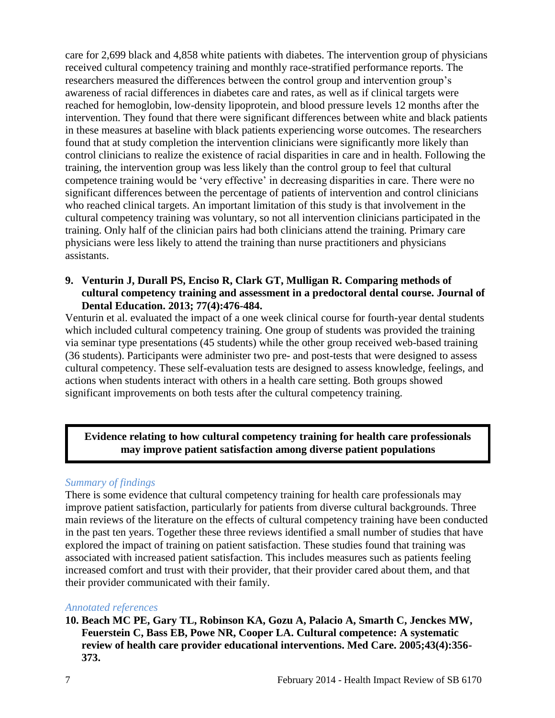care for 2,699 black and 4,858 white patients with diabetes. The intervention group of physicians received cultural competency training and monthly race-stratified performance reports. The researchers measured the differences between the control group and intervention group's awareness of racial differences in diabetes care and rates, as well as if clinical targets were reached for hemoglobin, low-density lipoprotein, and blood pressure levels 12 months after the intervention. They found that there were significant differences between white and black patients in these measures at baseline with black patients experiencing worse outcomes. The researchers found that at study completion the intervention clinicians were significantly more likely than control clinicians to realize the existence of racial disparities in care and in health. Following the training, the intervention group was less likely than the control group to feel that cultural competence training would be 'very effective' in decreasing disparities in care. There were no significant differences between the percentage of patients of intervention and control clinicians who reached clinical targets. An important limitation of this study is that involvement in the cultural competency training was voluntary, so not all intervention clinicians participated in the training. Only half of the clinician pairs had both clinicians attend the training. Primary care physicians were less likely to attend the training than nurse practitioners and physicians assistants.

#### **9. Venturin J, Durall PS, Enciso R, Clark GT, Mulligan R. Comparing methods of cultural competency training and assessment in a predoctoral dental course. Journal of Dental Education. 2013; 77(4):476-484.**

Venturin et al. evaluated the impact of a one week clinical course for fourth-year dental students which included cultural competency training. One group of students was provided the training via seminar type presentations (45 students) while the other group received web-based training (36 students). Participants were administer two pre- and post-tests that were designed to assess cultural competency. These self-evaluation tests are designed to assess knowledge, feelings, and actions when students interact with others in a health care setting. Both groups showed significant improvements on both tests after the cultural competency training.

#### **Evidence relating to how cultural competency training for health care professionals may improve patient satisfaction among diverse patient populations**

#### *Summary of findings*

There is some evidence that cultural competency training for health care professionals may improve patient satisfaction, particularly for patients from diverse cultural backgrounds. Three main reviews of the literature on the effects of cultural competency training have been conducted in the past ten years. Together these three reviews identified a small number of studies that have explored the impact of training on patient satisfaction. These studies found that training was associated with increased patient satisfaction. This includes measures such as patients feeling increased comfort and trust with their provider, that their provider cared about them, and that their provider communicated with their family.

#### *Annotated references*

#### **10. Beach MC PE, Gary TL, Robinson KA, Gozu A, Palacio A, Smarth C, Jenckes MW, Feuerstein C, Bass EB, Powe NR, Cooper LA. Cultural competence: A systematic review of health care provider educational interventions. Med Care. 2005;43(4):356- 373.**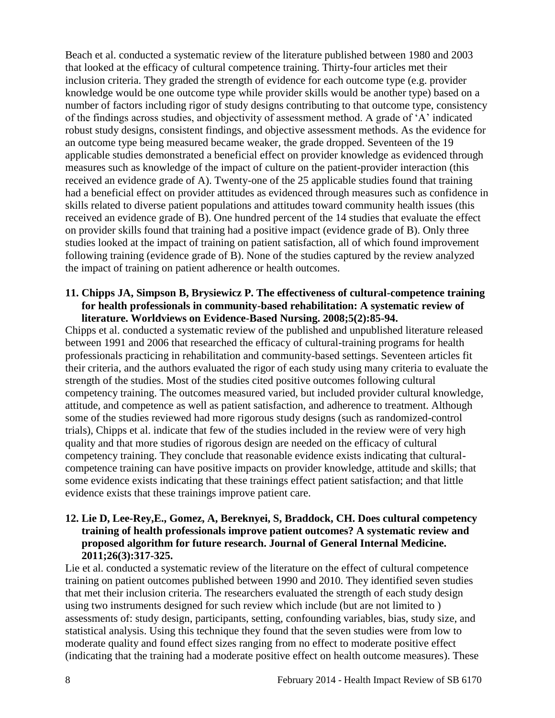Beach et al. conducted a systematic review of the literature published between 1980 and 2003 that looked at the efficacy of cultural competence training. Thirty-four articles met their inclusion criteria. They graded the strength of evidence for each outcome type (e.g. provider knowledge would be one outcome type while provider skills would be another type) based on a number of factors including rigor of study designs contributing to that outcome type, consistency of the findings across studies, and objectivity of assessment method. A grade of 'A' indicated robust study designs, consistent findings, and objective assessment methods. As the evidence for an outcome type being measured became weaker, the grade dropped. Seventeen of the 19 applicable studies demonstrated a beneficial effect on provider knowledge as evidenced through measures such as knowledge of the impact of culture on the patient-provider interaction (this received an evidence grade of A). Twenty-one of the 25 applicable studies found that training had a beneficial effect on provider attitudes as evidenced through measures such as confidence in skills related to diverse patient populations and attitudes toward community health issues (this received an evidence grade of B). One hundred percent of the 14 studies that evaluate the effect on provider skills found that training had a positive impact (evidence grade of B). Only three studies looked at the impact of training on patient satisfaction, all of which found improvement following training (evidence grade of B). None of the studies captured by the review analyzed the impact of training on patient adherence or health outcomes.

#### **11. Chipps JA, Simpson B, Brysiewicz P. The effectiveness of cultural-competence training for health professionals in community-based rehabilitation: A systematic review of literature. Worldviews on Evidence-Based Nursing. 2008;5(2):85-94.**

Chipps et al. conducted a systematic review of the published and unpublished literature released between 1991 and 2006 that researched the efficacy of cultural-training programs for health professionals practicing in rehabilitation and community-based settings. Seventeen articles fit their criteria, and the authors evaluated the rigor of each study using many criteria to evaluate the strength of the studies. Most of the studies cited positive outcomes following cultural competency training. The outcomes measured varied, but included provider cultural knowledge, attitude, and competence as well as patient satisfaction, and adherence to treatment. Although some of the studies reviewed had more rigorous study designs (such as randomized-control trials), Chipps et al. indicate that few of the studies included in the review were of very high quality and that more studies of rigorous design are needed on the efficacy of cultural competency training. They conclude that reasonable evidence exists indicating that culturalcompetence training can have positive impacts on provider knowledge, attitude and skills; that some evidence exists indicating that these trainings effect patient satisfaction; and that little evidence exists that these trainings improve patient care.

#### **12. Lie D, Lee-Rey,E., Gomez, A, Bereknyei, S, Braddock, CH. Does cultural competency training of health professionals improve patient outcomes? A systematic review and proposed algorithm for future research. Journal of General Internal Medicine. 2011;26(3):317-325.**

Lie et al. conducted a systematic review of the literature on the effect of cultural competence training on patient outcomes published between 1990 and 2010. They identified seven studies that met their inclusion criteria. The researchers evaluated the strength of each study design using two instruments designed for such review which include (but are not limited to ) assessments of: study design, participants, setting, confounding variables, bias, study size, and statistical analysis. Using this technique they found that the seven studies were from low to moderate quality and found effect sizes ranging from no effect to moderate positive effect (indicating that the training had a moderate positive effect on health outcome measures). These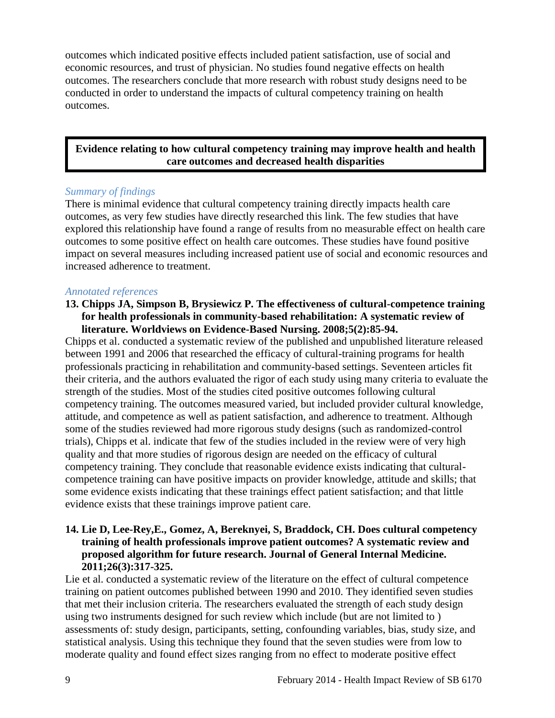outcomes which indicated positive effects included patient satisfaction, use of social and economic resources, and trust of physician. No studies found negative effects on health outcomes. The researchers conclude that more research with robust study designs need to be conducted in order to understand the impacts of cultural competency training on health outcomes.

#### **Evidence relating to how cultural competency training may improve health and health care outcomes and decreased health disparities**

#### *Summary of findings*

There is minimal evidence that cultural competency training directly impacts health care outcomes, as very few studies have directly researched this link. The few studies that have explored this relationship have found a range of results from no measurable effect on health care outcomes to some positive effect on health care outcomes. These studies have found positive impact on several measures including increased patient use of social and economic resources and increased adherence to treatment.

#### *Annotated references*

#### **13. Chipps JA, Simpson B, Brysiewicz P. The effectiveness of cultural-competence training for health professionals in community-based rehabilitation: A systematic review of literature. Worldviews on Evidence-Based Nursing. 2008;5(2):85-94.**

Chipps et al. conducted a systematic review of the published and unpublished literature released between 1991 and 2006 that researched the efficacy of cultural-training programs for health professionals practicing in rehabilitation and community-based settings. Seventeen articles fit their criteria, and the authors evaluated the rigor of each study using many criteria to evaluate the strength of the studies. Most of the studies cited positive outcomes following cultural competency training. The outcomes measured varied, but included provider cultural knowledge, attitude, and competence as well as patient satisfaction, and adherence to treatment. Although some of the studies reviewed had more rigorous study designs (such as randomized-control trials), Chipps et al. indicate that few of the studies included in the review were of very high quality and that more studies of rigorous design are needed on the efficacy of cultural competency training. They conclude that reasonable evidence exists indicating that culturalcompetence training can have positive impacts on provider knowledge, attitude and skills; that some evidence exists indicating that these trainings effect patient satisfaction; and that little evidence exists that these trainings improve patient care.

#### **14. Lie D, Lee-Rey,E., Gomez, A, Bereknyei, S, Braddock, CH. Does cultural competency training of health professionals improve patient outcomes? A systematic review and proposed algorithm for future research. Journal of General Internal Medicine. 2011;26(3):317-325.**

Lie et al. conducted a systematic review of the literature on the effect of cultural competence training on patient outcomes published between 1990 and 2010. They identified seven studies that met their inclusion criteria. The researchers evaluated the strength of each study design using two instruments designed for such review which include (but are not limited to ) assessments of: study design, participants, setting, confounding variables, bias, study size, and statistical analysis. Using this technique they found that the seven studies were from low to moderate quality and found effect sizes ranging from no effect to moderate positive effect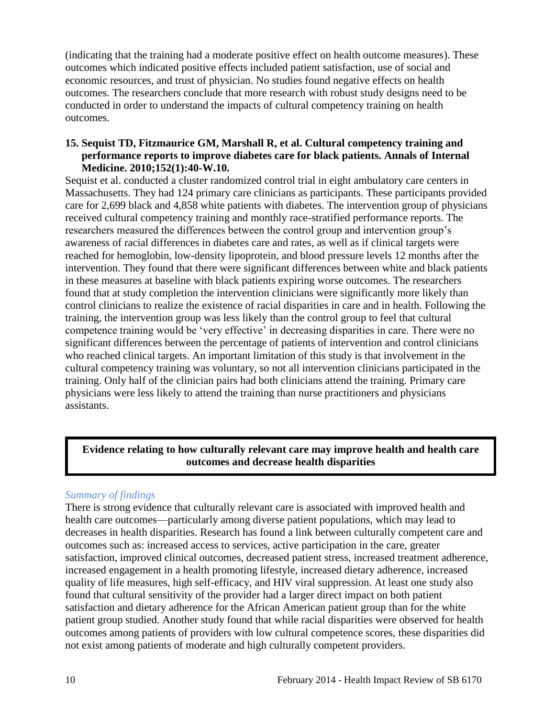(indicating that the training had a moderate positive effect on health outcome measures). These outcomes which indicated positive effects included patient satisfaction, use of social and economic resources, and trust of physician. No studies found negative effects on health outcomes. The researchers conclude that more research with robust study designs need to be conducted in order to understand the impacts of cultural competency training on health outcomes.

#### **15. Sequist TD, Fitzmaurice GM, Marshall R, et al. Cultural competency training and performance reports to improve diabetes care for black patients. Annals of Internal Medicine. 2010;152(1):40-W.10.**

Sequist et al. conducted a cluster randomized control trial in eight ambulatory care centers in Massachusetts. They had 124 primary care clinicians as participants. These participants provided care for 2,699 black and 4,858 white patients with diabetes. The intervention group of physicians received cultural competency training and monthly race-stratified performance reports. The researchers measured the differences between the control group and intervention group's awareness of racial differences in diabetes care and rates, as well as if clinical targets were reached for hemoglobin, low-density lipoprotein, and blood pressure levels 12 months after the intervention. They found that there were significant differences between white and black patients in these measures at baseline with black patients expiring worse outcomes. The researchers found that at study completion the intervention clinicians were significantly more likely than control clinicians to realize the existence of racial disparities in care and in health. Following the training, the intervention group was less likely than the control group to feel that cultural competence training would be 'very effective' in decreasing disparities in care. There were no significant differences between the percentage of patients of intervention and control clinicians who reached clinical targets. An important limitation of this study is that involvement in the cultural competency training was voluntary, so not all intervention clinicians participated in the training. Only half of the clinician pairs had both clinicians attend the training. Primary care physicians were less likely to attend the training than nurse practitioners and physicians assistants.

#### **Evidence relating to how culturally relevant care may improve health and health care outcomes and decrease health disparities**

#### *Summary of findings*

There is strong evidence that culturally relevant care is associated with improved health and health care outcomes—particularly among diverse patient populations, which may lead to decreases in health disparities. Research has found a link between culturally competent care and outcomes such as: increased access to services, active participation in the care, greater satisfaction, improved clinical outcomes, decreased patient stress, increased treatment adherence, increased engagement in a health promoting lifestyle, increased dietary adherence, increased quality of life measures, high self-efficacy, and HIV viral suppression. At least one study also found that cultural sensitivity of the provider had a larger direct impact on both patient satisfaction and dietary adherence for the African American patient group than for the white patient group studied. Another study found that while racial disparities were observed for health outcomes among patients of providers with low cultural competence scores, these disparities did not exist among patients of moderate and high culturally competent providers.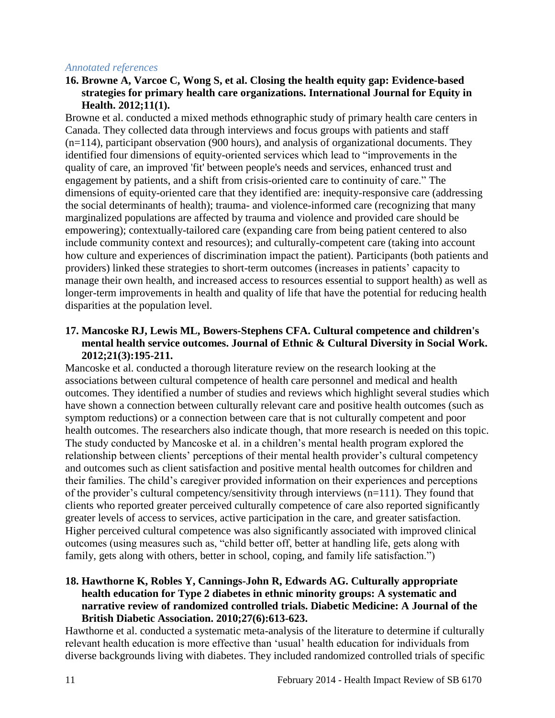#### *Annotated references*

#### **16. Browne A, Varcoe C, Wong S, et al. Closing the health equity gap: Evidence-based strategies for primary health care organizations. International Journal for Equity in Health. 2012;11(1).**

Browne et al. conducted a mixed methods ethnographic study of primary health care centers in Canada. They collected data through interviews and focus groups with patients and staff (n=114), participant observation (900 hours), and analysis of organizational documents. They identified four dimensions of equity-oriented services which lead to "improvements in the quality of care, an improved 'fit' between people's needs and services, enhanced trust and engagement by patients, and a shift from crisis-oriented care to continuity of care." The dimensions of equity-oriented care that they identified are: inequity-responsive care (addressing the social determinants of health); trauma- and violence-informed care (recognizing that many marginalized populations are affected by trauma and violence and provided care should be empowering); contextually-tailored care (expanding care from being patient centered to also include community context and resources); and culturally-competent care (taking into account how culture and experiences of discrimination impact the patient). Participants (both patients and providers) linked these strategies to short-term outcomes (increases in patients' capacity to manage their own health, and increased access to resources essential to support health) as well as longer-term improvements in health and quality of life that have the potential for reducing health disparities at the population level.

#### **17. Mancoske RJ, Lewis ML, Bowers-Stephens CFA. Cultural competence and children's mental health service outcomes. Journal of Ethnic & Cultural Diversity in Social Work. 2012;21(3):195-211.**

Mancoske et al. conducted a thorough literature review on the research looking at the associations between cultural competence of health care personnel and medical and health outcomes. They identified a number of studies and reviews which highlight several studies which have shown a connection between culturally relevant care and positive health outcomes (such as symptom reductions) or a connection between care that is not culturally competent and poor health outcomes. The researchers also indicate though, that more research is needed on this topic. The study conducted by Mancoske et al. in a children's mental health program explored the relationship between clients' perceptions of their mental health provider's cultural competency and outcomes such as client satisfaction and positive mental health outcomes for children and their families. The child's caregiver provided information on their experiences and perceptions of the provider's cultural competency/sensitivity through interviews (n=111). They found that clients who reported greater perceived culturally competence of care also reported significantly greater levels of access to services, active participation in the care, and greater satisfaction. Higher perceived cultural competence was also significantly associated with improved clinical outcomes (using measures such as, "child better off, better at handling life, gets along with family, gets along with others, better in school, coping, and family life satisfaction.")

#### **18. Hawthorne K, Robles Y, Cannings-John R, Edwards AG. Culturally appropriate health education for Type 2 diabetes in ethnic minority groups: A systematic and narrative review of randomized controlled trials. Diabetic Medicine: A Journal of the British Diabetic Association. 2010;27(6):613-623.**

Hawthorne et al. conducted a systematic meta-analysis of the literature to determine if culturally relevant health education is more effective than 'usual' health education for individuals from diverse backgrounds living with diabetes. They included randomized controlled trials of specific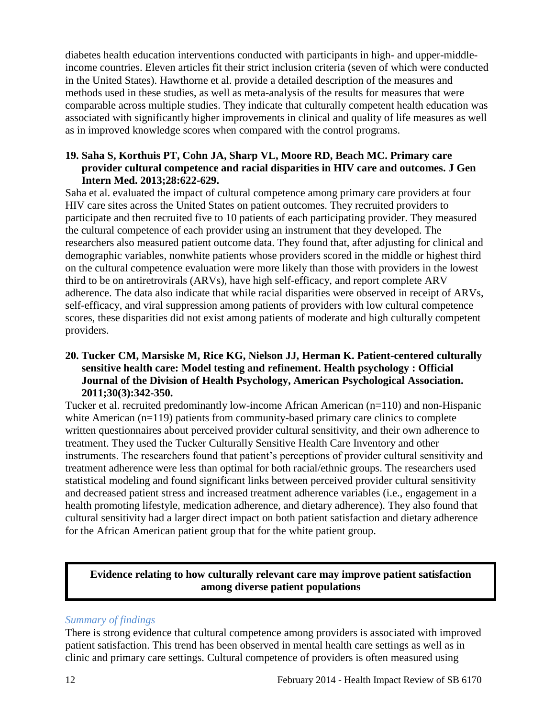diabetes health education interventions conducted with participants in high- and upper-middleincome countries. Eleven articles fit their strict inclusion criteria (seven of which were conducted in the United States). Hawthorne et al. provide a detailed description of the measures and methods used in these studies, as well as meta-analysis of the results for measures that were comparable across multiple studies. They indicate that culturally competent health education was associated with significantly higher improvements in clinical and quality of life measures as well as in improved knowledge scores when compared with the control programs.

#### **19. Saha S, Korthuis PT, Cohn JA, Sharp VL, Moore RD, Beach MC. Primary care provider cultural competence and racial disparities in HIV care and outcomes. J Gen Intern Med. 2013;28:622-629.**

Saha et al. evaluated the impact of cultural competence among primary care providers at four HIV care sites across the United States on patient outcomes. They recruited providers to participate and then recruited five to 10 patients of each participating provider. They measured the cultural competence of each provider using an instrument that they developed. The researchers also measured patient outcome data. They found that, after adjusting for clinical and demographic variables, nonwhite patients whose providers scored in the middle or highest third on the cultural competence evaluation were more likely than those with providers in the lowest third to be on antiretrovirals (ARVs), have high self-efficacy, and report complete ARV adherence. The data also indicate that while racial disparities were observed in receipt of ARVs, self-efficacy, and viral suppression among patients of providers with low cultural competence scores, these disparities did not exist among patients of moderate and high culturally competent providers.

#### **20. Tucker CM, Marsiske M, Rice KG, Nielson JJ, Herman K. Patient-centered culturally sensitive health care: Model testing and refinement. Health psychology : Official Journal of the Division of Health Psychology, American Psychological Association. 2011;30(3):342-350.**

Tucker et al. recruited predominantly low-income African American (n=110) and non-Hispanic white American  $(n=119)$  patients from community-based primary care clinics to complete written questionnaires about perceived provider cultural sensitivity, and their own adherence to treatment. They used the Tucker Culturally Sensitive Health Care Inventory and other instruments. The researchers found that patient's perceptions of provider cultural sensitivity and treatment adherence were less than optimal for both racial/ethnic groups. The researchers used statistical modeling and found significant links between perceived provider cultural sensitivity and decreased patient stress and increased treatment adherence variables (i.e., engagement in a health promoting lifestyle, medication adherence, and dietary adherence). They also found that cultural sensitivity had a larger direct impact on both patient satisfaction and dietary adherence for the African American patient group that for the white patient group.

#### **Evidence relating to how culturally relevant care may improve patient satisfaction among diverse patient populations**

#### *Summary of findings*

There is strong evidence that cultural competence among providers is associated with improved patient satisfaction. This trend has been observed in mental health care settings as well as in clinic and primary care settings. Cultural competence of providers is often measured using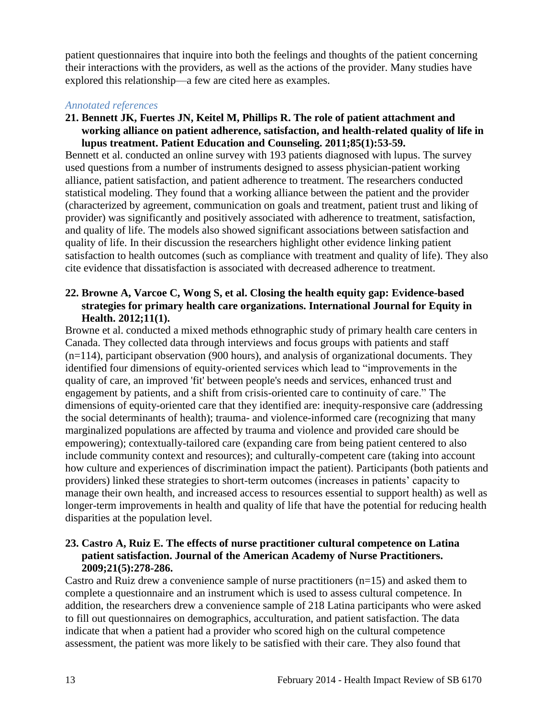patient questionnaires that inquire into both the feelings and thoughts of the patient concerning their interactions with the providers, as well as the actions of the provider. Many studies have explored this relationship—a few are cited here as examples.

#### *Annotated references*

**21. Bennett JK, Fuertes JN, Keitel M, Phillips R. The role of patient attachment and working alliance on patient adherence, satisfaction, and health-related quality of life in lupus treatment. Patient Education and Counseling. 2011;85(1):53-59.**

Bennett et al. conducted an online survey with 193 patients diagnosed with lupus. The survey used questions from a number of instruments designed to assess physician-patient working alliance, patient satisfaction, and patient adherence to treatment. The researchers conducted statistical modeling. They found that a working alliance between the patient and the provider (characterized by agreement, communication on goals and treatment, patient trust and liking of provider) was significantly and positively associated with adherence to treatment, satisfaction, and quality of life. The models also showed significant associations between satisfaction and quality of life. In their discussion the researchers highlight other evidence linking patient satisfaction to health outcomes (such as compliance with treatment and quality of life). They also cite evidence that dissatisfaction is associated with decreased adherence to treatment.

#### **22. Browne A, Varcoe C, Wong S, et al. Closing the health equity gap: Evidence-based strategies for primary health care organizations. International Journal for Equity in Health. 2012;11(1).**

Browne et al. conducted a mixed methods ethnographic study of primary health care centers in Canada. They collected data through interviews and focus groups with patients and staff (n=114), participant observation (900 hours), and analysis of organizational documents. They identified four dimensions of equity-oriented services which lead to "improvements in the quality of care, an improved 'fit' between people's needs and services, enhanced trust and engagement by patients, and a shift from crisis-oriented care to continuity of care." The dimensions of equity-oriented care that they identified are: inequity-responsive care (addressing the social determinants of health); trauma- and violence-informed care (recognizing that many marginalized populations are affected by trauma and violence and provided care should be empowering); contextually-tailored care (expanding care from being patient centered to also include community context and resources); and culturally-competent care (taking into account how culture and experiences of discrimination impact the patient). Participants (both patients and providers) linked these strategies to short-term outcomes (increases in patients' capacity to manage their own health, and increased access to resources essential to support health) as well as longer-term improvements in health and quality of life that have the potential for reducing health disparities at the population level.

#### **23. Castro A, Ruiz E. The effects of nurse practitioner cultural competence on Latina patient satisfaction. Journal of the American Academy of Nurse Practitioners. 2009;21(5):278-286.**

Castro and Ruiz drew a convenience sample of nurse practitioners (n=15) and asked them to complete a questionnaire and an instrument which is used to assess cultural competence. In addition, the researchers drew a convenience sample of 218 Latina participants who were asked to fill out questionnaires on demographics, acculturation, and patient satisfaction. The data indicate that when a patient had a provider who scored high on the cultural competence assessment, the patient was more likely to be satisfied with their care. They also found that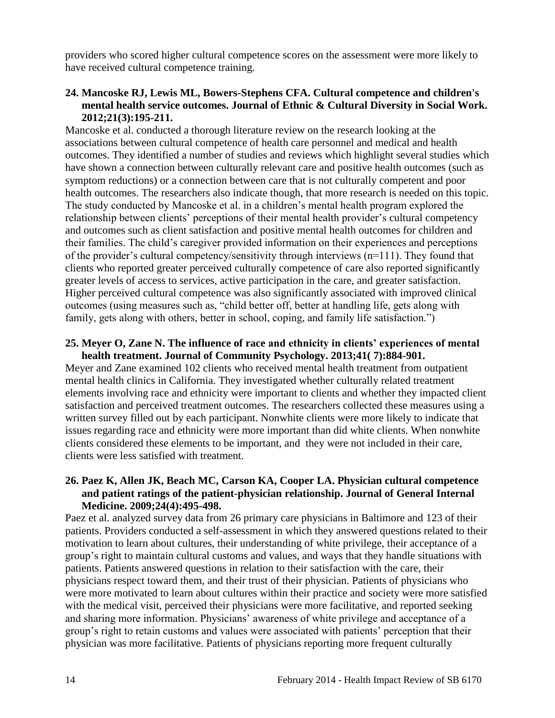providers who scored higher cultural competence scores on the assessment were more likely to have received cultural competence training.

#### **24. Mancoske RJ, Lewis ML, Bowers-Stephens CFA. Cultural competence and children's mental health service outcomes. Journal of Ethnic & Cultural Diversity in Social Work. 2012;21(3):195-211.**

Mancoske et al. conducted a thorough literature review on the research looking at the associations between cultural competence of health care personnel and medical and health outcomes. They identified a number of studies and reviews which highlight several studies which have shown a connection between culturally relevant care and positive health outcomes (such as symptom reductions) or a connection between care that is not culturally competent and poor health outcomes. The researchers also indicate though, that more research is needed on this topic. The study conducted by Mancoske et al. in a children's mental health program explored the relationship between clients' perceptions of their mental health provider's cultural competency and outcomes such as client satisfaction and positive mental health outcomes for children and their families. The child's caregiver provided information on their experiences and perceptions of the provider's cultural competency/sensitivity through interviews (n=111). They found that clients who reported greater perceived culturally competence of care also reported significantly greater levels of access to services, active participation in the care, and greater satisfaction. Higher perceived cultural competence was also significantly associated with improved clinical outcomes (using measures such as, "child better off, better at handling life, gets along with family, gets along with others, better in school, coping, and family life satisfaction.")

#### **25. Meyer O, Zane N. The influence of race and ethnicity in clients' experiences of mental health treatment. Journal of Community Psychology. 2013;41( 7):884-901.**

Meyer and Zane examined 102 clients who received mental health treatment from outpatient mental health clinics in California. They investigated whether culturally related treatment elements involving race and ethnicity were important to clients and whether they impacted client satisfaction and perceived treatment outcomes. The researchers collected these measures using a written survey filled out by each participant. Nonwhite clients were more likely to indicate that issues regarding race and ethnicity were more important than did white clients. When nonwhite clients considered these elements to be important, and they were not included in their care, clients were less satisfied with treatment.

#### **26. Paez K, Allen JK, Beach MC, Carson KA, Cooper LA. Physician cultural competence and patient ratings of the patient-physician relationship. Journal of General Internal Medicine. 2009;24(4):495-498.**

Paez et al. analyzed survey data from 26 primary care physicians in Baltimore and 123 of their patients. Providers conducted a self-assessment in which they answered questions related to their motivation to learn about cultures, their understanding of white privilege, their acceptance of a group's right to maintain cultural customs and values, and ways that they handle situations with patients. Patients answered questions in relation to their satisfaction with the care, their physicians respect toward them, and their trust of their physician. Patients of physicians who were more motivated to learn about cultures within their practice and society were more satisfied with the medical visit, perceived their physicians were more facilitative, and reported seeking and sharing more information. Physicians' awareness of white privilege and acceptance of a group's right to retain customs and values were associated with patients' perception that their physician was more facilitative. Patients of physicians reporting more frequent culturally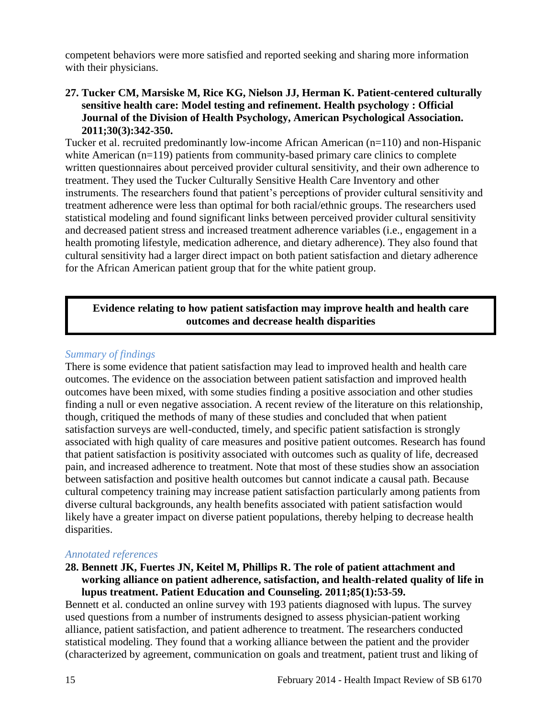competent behaviors were more satisfied and reported seeking and sharing more information with their physicians.

#### **27. Tucker CM, Marsiske M, Rice KG, Nielson JJ, Herman K. Patient-centered culturally sensitive health care: Model testing and refinement. Health psychology : Official Journal of the Division of Health Psychology, American Psychological Association. 2011;30(3):342-350.**

Tucker et al. recruited predominantly low-income African American (n=110) and non-Hispanic white American (n=119) patients from community-based primary care clinics to complete written questionnaires about perceived provider cultural sensitivity, and their own adherence to treatment. They used the Tucker Culturally Sensitive Health Care Inventory and other instruments. The researchers found that patient's perceptions of provider cultural sensitivity and treatment adherence were less than optimal for both racial/ethnic groups. The researchers used statistical modeling and found significant links between perceived provider cultural sensitivity and decreased patient stress and increased treatment adherence variables (i.e., engagement in a health promoting lifestyle, medication adherence, and dietary adherence). They also found that cultural sensitivity had a larger direct impact on both patient satisfaction and dietary adherence for the African American patient group that for the white patient group.

#### **Evidence relating to how patient satisfaction may improve health and health care outcomes and decrease health disparities**

#### *Summary of findings*

There is some evidence that patient satisfaction may lead to improved health and health care outcomes. The evidence on the association between patient satisfaction and improved health outcomes have been mixed, with some studies finding a positive association and other studies finding a null or even negative association. A recent review of the literature on this relationship, though, critiqued the methods of many of these studies and concluded that when patient satisfaction surveys are well-conducted, timely, and specific patient satisfaction is strongly associated with high quality of care measures and positive patient outcomes. Research has found that patient satisfaction is positivity associated with outcomes such as quality of life, decreased pain, and increased adherence to treatment. Note that most of these studies show an association between satisfaction and positive health outcomes but cannot indicate a causal path. Because cultural competency training may increase patient satisfaction particularly among patients from diverse cultural backgrounds, any health benefits associated with patient satisfaction would likely have a greater impact on diverse patient populations, thereby helping to decrease health disparities.

#### *Annotated references*

#### **28. Bennett JK, Fuertes JN, Keitel M, Phillips R. The role of patient attachment and working alliance on patient adherence, satisfaction, and health-related quality of life in lupus treatment. Patient Education and Counseling. 2011;85(1):53-59.**

Bennett et al. conducted an online survey with 193 patients diagnosed with lupus. The survey used questions from a number of instruments designed to assess physician-patient working alliance, patient satisfaction, and patient adherence to treatment. The researchers conducted statistical modeling. They found that a working alliance between the patient and the provider (characterized by agreement, communication on goals and treatment, patient trust and liking of